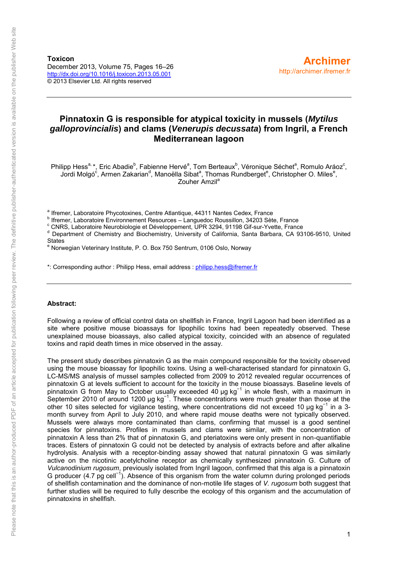**Toxicon** December 2013, Volume 75, Pages 16–26 <http://dx.doi.org/10.1016/j.toxicon.2013.05.001> © 2013 Elsevier Ltd. All rights reserved

## **Pinnatoxin G is responsible for atypical toxicity in mussels (***Mytilus galloprovincialis***) and clams (***Venerupis decussata***) from Ingril, a French Mediterranean lagoon**

Philipp Hess<sup>a,</sup> \*, Eric Abadie<sup>b</sup>, Fabienne Hervé<sup>a</sup>, Tom Berteaux<sup>b</sup>, Véronique Séchet<sup>a</sup>, Romulo Aráoz<sup>c</sup>, Jordi Molgó<sup>c</sup>, Armen Zakarian<sup>d</sup>, Manoëlla Sibat<sup>a</sup>, Thomas Rundberget<sup>e</sup>, Christopher O. Miles<sup>e</sup>, Zouher Amzil<sup>a</sup>

<sup>a</sup> Ifremer, Laboratoire Phycotoxines, Centre Atlantique, 44311 Nantes Cedex, France

b Ifremer, Laboratoire Environnement Resources – Languedoc Roussillon, 34203 Sète, France

c CNRS, Laboratoire Neurobiologie et Développement, UPR 3294, 91198 Gif-sur-Yvette, France

d Department of Chemistry and Biochemistry, University of California, Santa Barbara, CA 93106-9510, United States

e Norwegian Veterinary Institute, P. O. Box 750 Sentrum, 0106 Oslo, Norway

\*: Corresponding author : Philipp Hess, email address [: philipp.hess@ifremer.fr](mailto:philipp.hess@ifremer.fr)

#### **Abstract:**

Following a review of official control data on shellfish in France, Ingril Lagoon had been identified as a site where positive mouse bioassays for lipophilic toxins had been repeatedly observed. These unexplained mouse bioassays, also called atypical toxicity, coincided with an absence of regulated toxins and rapid death times in mice observed in the assay.

The present study describes pinnatoxin G as the main compound responsible for the toxicity observed using the mouse bioassay for lipophilic toxins. Using a well-characterised standard for pinnatoxin G, LC-MS/MS analysis of mussel samples collected from 2009 to 2012 revealed regular occurrences of pinnatoxin G at levels sufficient to account for the toxicity in the mouse bioassays. Baseline levels of pinnatoxin G from May to October usually exceeded 40 µg kg<sup>-1</sup> in whole flesh, with a maximum in September 2010 of around 1200 μg kg<sup>-1</sup>. These concentrations were much greater than those at the other 10 sites selected for vigilance testing, where concentrations did not exceed 10 μg kg<sup>-1</sup> in a 3month survey from April to July 2010, and where rapid mouse deaths were not typically observed. Mussels were always more contaminated than clams, confirming that mussel is a good sentinel species for pinnatoxins. Profiles in mussels and clams were similar, with the concentration of pinnatoxin A less than 2% that of pinnatoxin G, and pteriatoxins were only present in non-quantifiable traces. Esters of pinnatoxin G could not be detected by analysis of extracts before and after alkaline hydrolysis. Analysis with a receptor-binding assay showed that natural pinnatoxin G was similarly active on the nicotinic acetylcholine receptor as chemically synthesized pinnatoxin G. Culture of *Vulcanodinium rugosum*, previously isolated from Ingril lagoon, confirmed that this alga is a pinnatoxin G producer (4.7 pg cell<sup>-1</sup>). Absence of this organism from the water column during prolonged periods of shellfish contamination and the dominance of non-motile life stages of *V. rugosum* both suggest that further studies will be required to fully describe the ecology of this organism and the accumulation of pinnatoxins in shellfish.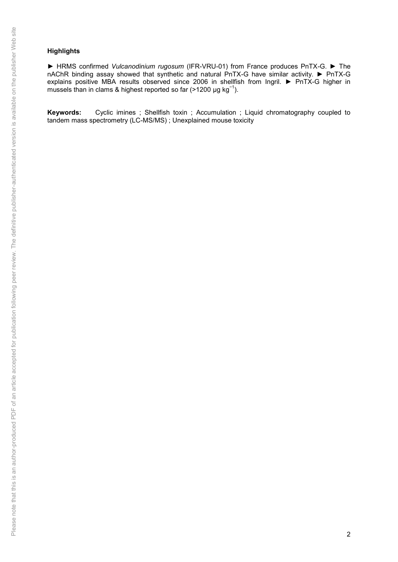## **Highlights**

► HRMS confirmed *Vulcanodinium rugosum* (IFR-VRU-01) from France produces PnTX-G. ► The nAChR binding assay showed that synthetic and natural PnTX-G have similar activity. ► PnTX-G explains positive MBA results observed since 2006 in shellfish from Ingril. ► PnTX-G higher in mussels than in clams & highest reported so far (>1200  $\mu$ g kg<sup>-1</sup>).

**Keywords:** Cyclic imines ; Shellfish toxin ; Accumulation ; Liquid chromatography coupled to tandem mass spectrometry (LC-MS/MS) ; Unexplained mouse toxicity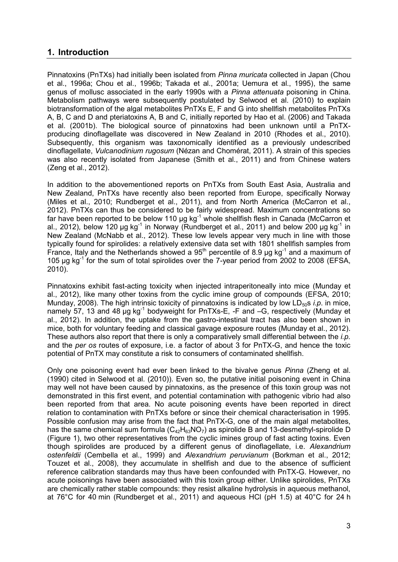## **1. Introduction**

Pinnatoxins (PnTXs) had initially been isolated from *Pinna muricata* collected in Japan (Chou et al., 1996a; Chou et al., 1996b; Takada et al., 2001a; Uemura et al., 1995), the same genus of mollusc associated in the early 1990s with a *Pinna attenuata* poisoning in China. Metabolism pathways were subsequently postulated by Selwood et al. (2010) to explain biotransformation of the algal metabolites PnTXs E, F and G into shellfish metabolites PnTXs A, B, C and D and pteriatoxins A, B and C, initially reported by Hao et al. (2006) and Takada et al. (2001b). The biological source of pinnatoxins had been unknown until a PnTXproducing dinoflagellate was discovered in New Zealand in 2010 (Rhodes et al., 2010). Subsequently, this organism was taxonomically identified as a previously undescribed dinoflagellate, *Vulcanodinium rugosum* (Nézan and Chomérat, 2011). A strain of this species was also recently isolated from Japanese (Smith et al., 2011) and from Chinese waters (Zeng et al., 2012).

In addition to the abovementioned reports on PnTXs from South East Asia, Australia and New Zealand, PnTXs have recently also been reported from Europe, specifically Norway (Miles et al., 2010; Rundberget et al., 2011), and from North America (McCarron et al., 2012). PnTXs can thus be considered to be fairly widespread. Maximum concentrations so far have been reported to be below 110  $\mu$ g kg<sup>-1</sup> whole shellfish flesh in Canada (McCarron et al., 2012), below 120  $\mu$ g kg<sup>-1</sup> in Norway (Rundberget et al., 2011) and below 200  $\mu$ g kg<sup>-1</sup> in New Zealand (McNabb et al., 2012). These low levels appear very much in line with those typically found for spirolides: a relatively extensive data set with 1801 shellfish samples from France, Italy and the Netherlands showed a  $95<sup>th</sup>$  percentile of 8.9 ug kg<sup>-1</sup> and a maximum of 105 µg kg<sup>-1</sup> for the sum of total spirolides over the 7-year period from 2002 to 2008 (EFSA, 2010).

Pinnatoxins exhibit fast-acting toxicity when injected intraperitoneally into mice (Munday et al., 2012), like many other toxins from the cyclic imine group of compounds (EFSA, 2010; Munday, 2008). The high intrinsic toxicity of pinnatoxins is indicated by low LD<sub>50</sub>s *i.p.* in mice, namely 57, 13 and 48  $\mu$ g kg<sup>-1</sup> bodyweight for PnTXs-E, -F and  $-G$ , respectively (Munday et al., 2012). In addition, the uptake from the gastro-intestinal tract has also been shown in mice, both for voluntary feeding and classical gavage exposure routes (Munday et al., 2012). These authors also report that there is only a comparatively small differential between the *i.p.* and the *per os* routes of exposure, i.e. a factor of about 3 for PnTX-G, and hence the toxic potential of PnTX may constitute a risk to consumers of contaminated shellfish.

Only one poisoning event had ever been linked to the bivalve genus *Pinna* (Zheng et al. (1990) cited in Selwood et al. (2010)). Even so, the putative initial poisoning event in China may well not have been caused by pinnatoxins, as the presence of this toxin group was not demonstrated in this first event, and potential contamination with pathogenic vibrio had also been reported from that area. No acute poisoning events have been reported in direct relation to contamination with PnTXs before or since their chemical characterisation in 1995. Possible confusion may arise from the fact that PnTX-G, one of the main algal metabolites, has the same chemical sum formula  $(C_{42}H_{63}NO_7)$  as spirolide B and 13-desmethyl-spirolide D (Figure 1), two other representatives from the cyclic imines group of fast acting toxins. Even though spirolides are produced by a different genus of dinoflagellate, i.e. *Alexandrium ostenfeldii* (Cembella et al., 1999) and *Alexandrium peruvianum* (Borkman et al., 2012; Touzet et al., 2008), they accumulate in shellfish and due to the absence of sufficient reference calibration standards may thus have been confounded with PnTX-G. However, no acute poisonings have been associated with this toxin group either. Unlike spirolides, PnTXs are chemically rather stable compounds: they resist alkaline hydrolysis in aqueous methanol, at 76°C for 40 min (Rundberget et al., 2011) and aqueous HCl (pH 1.5) at 40°C for 24 h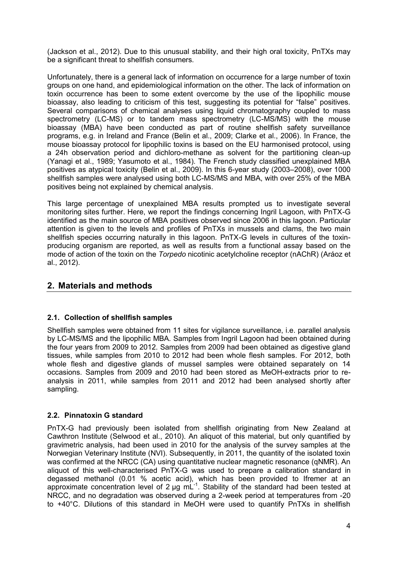(Jackson et al., 2012). Due to this unusual stability, and their high oral toxicity, PnTXs may be a significant threat to shellfish consumers.

Unfortunately, there is a general lack of information on occurrence for a large number of toxin groups on one hand, and epidemiological information on the other. The lack of information on toxin occurrence has been to some extent overcome by the use of the lipophilic mouse bioassay, also leading to criticism of this test, suggesting its potential for "false" positives. Several comparisons of chemical analyses using liquid chromatography coupled to mass spectrometry (LC-MS) or to tandem mass spectrometry (LC-MS/MS) with the mouse bioassay (MBA) have been conducted as part of routine shellfish safety surveillance programs, e.g. in Ireland and France (Belin et al., 2009; Clarke et al., 2006). In France, the mouse bioassay protocol for lipophilic toxins is based on the EU harmonised protocol, using a 24h observation period and dichloro-methane as solvent for the partitioning clean-up (Yanagi et al., 1989; Yasumoto et al., 1984). The French study classified unexplained MBA positives as atypical toxicity (Belin et al., 2009). In this 6-year study (2003–2008), over 1000 shellfish samples were analysed using both LC-MS/MS and MBA, with over 25% of the MBA positives being not explained by chemical analysis.

This large percentage of unexplained MBA results prompted us to investigate several monitoring sites further. Here, we report the findings concerning Ingril Lagoon, with PnTX-G identified as the main source of MBA positives observed since 2006 in this lagoon. Particular attention is given to the levels and profiles of PnTXs in mussels and clams, the two main shellfish species occurring naturally in this lagoon. PnTX-G levels in cultures of the toxinproducing organism are reported, as well as results from a functional assay based on the mode of action of the toxin on the *Torpedo* nicotinic acetylcholine receptor (nAChR) (Aráoz et al., 2012).

## **2. Materials and methods**

## **2.1. Collection of shellfish samples**

Shellfish samples were obtained from 11 sites for vigilance surveillance, i.e. parallel analysis by LC-MS/MS and the lipophilic MBA. Samples from Ingril Lagoon had been obtained during the four years from 2009 to 2012. Samples from 2009 had been obtained as digestive gland tissues, while samples from 2010 to 2012 had been whole flesh samples. For 2012, both whole flesh and digestive glands of mussel samples were obtained separately on 14 occasions. Samples from 2009 and 2010 had been stored as MeOH-extracts prior to reanalysis in 2011, while samples from 2011 and 2012 had been analysed shortly after sampling.

## **2.2. Pinnatoxin G standard**

PnTX-G had previously been isolated from shellfish originating from New Zealand at Cawthron Institute (Selwood et al., 2010). An aliquot of this material, but only quantified by gravimetric analysis, had been used in 2010 for the analysis of the survey samples at the Norwegian Veterinary Institute (NVI). Subsequently, in 2011, the quantity of the isolated toxin was confirmed at the NRCC (CA) using quantitative nuclear magnetic resonance (qNMR). An aliquot of this well-characterised PnTX-G was used to prepare a calibration standard in degassed methanol (0.01 % acetic acid), which has been provided to Ifremer at an approximate concentration level of 2 µg mL<sup>-1</sup>. Stability of the standard had been tested at NRCC, and no degradation was observed during a 2-week period at temperatures from -20 to +40°C. Dilutions of this standard in MeOH were used to quantify PnTXs in shellfish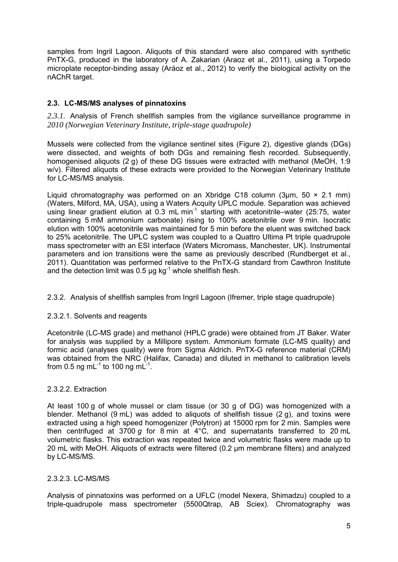samples from Ingril Lagoon. Aliquots of this standard were also compared with synthetic PnTX-G, produced in the laboratory of A. Zakarian (Araoz et al., 2011), using a Torpedo microplate receptor-binding assay (Aráoz et al., 2012) to verify the biological activity on the nAChR target.

## **2.3. LC-MS/MS analyses of pinnatoxins**

2.3.1. Analysis of French shellfish samples from the vigilance surveillance programme in *2010 (Norwegian Veterinary Institute, triple-stage quadrupole)*

Mussels were collected from the vigilance sentinel sites (Figure 2), digestive glands (DGs) were dissected, and weights of both DGs and remaining flesh recorded. Subsequently, homogenised aliquots (2 g) of these DG tissues were extracted with methanol (MeOH, 1:9 w/v). Filtered aliquots of these extracts were provided to the Norwegian Veterinary Institute for LC-MS/MS analysis.

Liquid chromatography was performed on an Xbridge C18 column (3um,  $50 \times 2.1$  mm) (Waters, Milford, MA, USA), using a Waters Acquity UPLC module. Separation was achieved using linear gradient elution at 0.3 mL min<sup>-1</sup> starting with acetonitrile–water (25:75, water containing 5 mM ammonium carbonate) rising to 100% acetonitrile over 9 min. Isocratic elution with 100% acetonitrile was maintained for 5 min before the eluent was switched back to 25% acetonitrile. The UPLC system was coupled to a Quattro Ultima Pt triple quadrupole mass spectrometer with an ESI interface (Waters Micromass, Manchester, UK). Instrumental parameters and ion transitions were the same as previously described (Rundberget et al., 2011). Quantitation was performed relative to the PnTX-G standard from Cawthron Institute and the detection limit was 0.5  $\mu$ g kg<sup>-1</sup> whole shellfish flesh.

### 2.3.2. Analysis of shellfish samples from Ingril Lagoon (Ifremer, triple stage quadrupole)

### 2.3.2.1. Solvents and reagents

Acetonitrile (LC-MS grade) and methanol (HPLC grade) were obtained from JT Baker. Water for analysis was supplied by a Millipore system. Ammonium formate (LC-MS quality) and formic acid (analyses quality) were from Sigma Aldrich. PnTX-G reference material (CRM) was obtained from the NRC (Halifax, Canada) and diluted in methanol to calibration levels from 0.5 ng mL<sup>-1</sup> to 100 ng mL<sup>-1</sup>.

### 2.3.2.2. Extraction

At least 100 g of whole mussel or clam tissue (or 30 g of DG) was homogenized with a blender. Methanol (9 mL) was added to aliquots of shellfish tissue (2 g), and toxins were extracted using a high speed homogenizer (Polytron) at 15000 rpm for 2 min. Samples were then centrifuged at 3700 *g* for 8 min at 4°C, and supernatants transferred to 20 mL volumetric flasks. This extraction was repeated twice and volumetric flasks were made up to 20 mL with MeOH. Aliquots of extracts were filtered (0.2 µm membrane filters) and analyzed by LC-MS/MS.

### 2.3.2.3. LC-MS/MS

Analysis of pinnatoxins was performed on a UFLC (model Nexera, Shimadzu) coupled to a triple-quadrupole mass spectrometer (5500Qtrap, AB Sciex). Chromatography was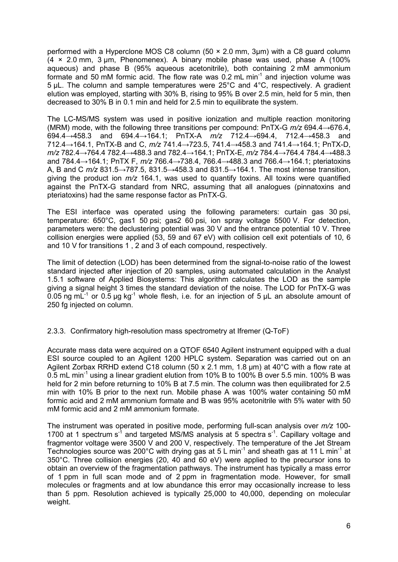performed with a Hyperclone MOS C8 column (50 × 2.0 mm, 3µm) with a C8 guard column (4 × 2.0 mm, 3 µm, Phenomenex). A binary mobile phase was used, phase A (100% aqueous) and phase B (95% aqueous acetonitrile), both containing 2 mM ammonium formate and 50 mM formic acid. The flow rate was  $0.2$  mL min<sup>-1</sup> and injection volume was 5 µL. The column and sample temperatures were 25°C and 4°C, respectively. A gradient elution was employed, starting with 30% B, rising to 95% B over 2.5 min, held for 5 min, then decreased to 30% B in 0.1 min and held for 2.5 min to equilibrate the system.

The LC-MS/MS system was used in positive ionization and multiple reaction monitoring (MRM) mode, with the following three transitions per compound: PnTX-G *m/z* 694.4→676.4, 694.4→458.3 and 694.4→164.1; PnTX-A *m/z* 712.4→694.4, 712.4→458.3 and 712.4→164.1, PnTX-B and C, *m/z* 741.4→723.5, 741.4→458.3 and 741.4→164.1; PnTX-D, *m/z* 782.4→764.4 782.4→488.3 and 782.4→164.1; PnTX-E, *m/z* 784.4→764.4 784.4→488.3 and 784.4→164.1; PnTX F, *m/z* 766.4→738.4, 766.4→488.3 and 766.4→164.1; pteriatoxins A, B and C *m/z* 831.5→787.5, 831.5→458.3 and 831.5→164.1. The most intense transition, giving the product ion *m/z* 164.1, was used to quantify toxins. All toxins were quantified against the PnTX-G standard from NRC, assuming that all analogues (pinnatoxins and pteriatoxins) had the same response factor as PnTX-G.

The ESI interface was operated using the following parameters: curtain gas 30 psi, temperature: 650°C, gas1 50 psi; gas2 60 psi, ion spray voltage 5500 V. For detection, parameters were: the declustering potential was 30 V and the entrance potential 10 V. Three collision energies were applied (53, 59 and 67 eV) with collision cell exit potentials of 10, 6 and 10 V for transitions 1 , 2 and 3 of each compound, respectively.

The limit of detection (LOD) has been determined from the signal-to-noise ratio of the lowest standard injected after injection of 20 samples, using automated calculation in the Analyst 1.5.1 software of Applied Biosystems: This algorithm calculates the LOD as the sample giving a signal height 3 times the standard deviation of the noise. The LOD for PnTX-G was 0.05 ng mL<sup>-1</sup> or 0.5 µg kg<sup>-1</sup> whole flesh, i.e. for an injection of 5 µL an absolute amount of 250 fg injected on column.

2.3.3. Confirmatory high-resolution mass spectrometry at Ifremer (Q-ToF)

Accurate mass data were acquired on a QTOF 6540 Agilent instrument equipped with a dual ESI source coupled to an Agilent 1200 HPLC system. Separation was carried out on an Agilent Zorbax RRHD extend C18 column (50 x 2.1 mm, 1.8 µm) at 40°C with a flow rate at 0.5 mL min<sup>-1</sup> using a linear gradient elution from 10% B to 100% B over 5.5 min. 100% B was held for 2 min before returning to 10% B at 7.5 min. The column was then equilibrated for 2.5 min with 10% B prior to the next run. Mobile phase A was 100% water containing 50 mM formic acid and 2 mM ammonium formate and B was 95% acetonitrile with 5% water with 50 mM formic acid and 2 mM ammonium formate.

The instrument was operated in positive mode, performing full-scan analysis over *m/z* 100- 1700 at 1 spectrum  $s<sup>-1</sup>$  and targeted MS/MS analysis at 5 spectra  $s<sup>-1</sup>$ . Capillary voltage and fragmentor voltage were 3500 V and 200 V, respectively. The temperature of the Jet Stream Technologies source was 200°C with drying gas at  $5 \text{ L min}^{-1}$  and sheath gas at 11 L min<sup>-1</sup> at 350°C. Three collision energies (20, 40 and 60 eV) were applied to the precursor ions to obtain an overview of the fragmentation pathways. The instrument has typically a mass error of 1 ppm in full scan mode and of 2 ppm in fragmentation mode. However, for small molecules or fragments and at low abundance this error may occasionally increase to less than 5 ppm. Resolution achieved is typically 25,000 to 40,000, depending on molecular weight.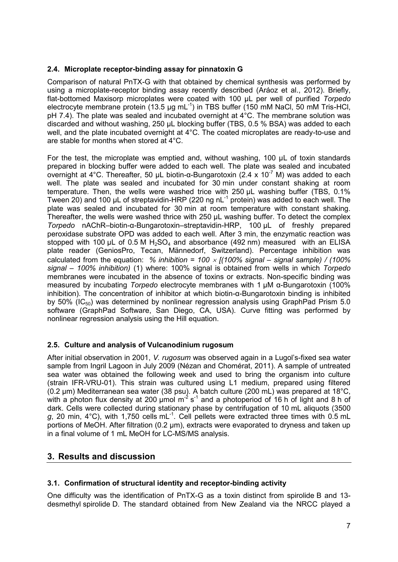## **2.4. Microplate receptor-binding assay for pinnatoxin G**

Comparison of natural PnTX-G with that obtained by chemical synthesis was performed by using a microplate-receptor binding assay recently described (Aráoz et al., 2012). Briefly, flat-bottomed Maxisorp microplates were coated with 100 µL per well of purified *Torpedo* electrocyte membrane protein  $(13.5 \text{ µq} \text{ mL}^{-1})$  in TBS buffer  $(150 \text{ mM NaCl}, 50 \text{ mM T} \text{ris-HCl},$ pH 7.4). The plate was sealed and incubated overnight at 4°C. The membrane solution was discarded and without washing, 250 µL blocking buffer (TBS, 0.5 % BSA) was added to each well, and the plate incubated overnight at 4°C. The coated microplates are ready-to-use and are stable for months when stored at 4°C.

For the test, the microplate was emptied and, without washing, 100 µL of toxin standards prepared in blocking buffer were added to each well. The plate was sealed and incubated overnight at 4°C. Thereafter, 50 μL biotin-α-Bungarotoxin (2.4 x 10<sup>-7</sup> M) was added to each well. The plate was sealed and incubated for 30 min under constant shaking at room temperature. Then, the wells were washed trice with 250 µL washing buffer (TBS, 0.1% Tween 20) and 100  $\mu$ L of streptavidin-HRP (220 ng nL $^{-1}$  protein) was added to each well. The plate was sealed and incubated for 30 min at room temperature with constant shaking. Thereafter, the wells were washed thrice with 250 µL washing buffer. To detect the complex *Torpedo* nAChR–biotin-α-Bungarotoxin–streptavidin-HRP, 100 µL of freshly prepared peroxidase substrate OPD was added to each well. After 3 min, the enzymatic reaction was stopped with 100  $\mu$ L of 0.5 M H<sub>2</sub>SO<sub>4</sub> and absorbance (492 nm) measured with an ELISA plate reader (GeniosPro, Tecan, Männedorf, Switzerland). Percentage inhibition was calculated from the equation:  $\%$  *inhibition = 100*  $\times$  *[(100% signal – signal sample) / (100% signal – 100% inhibition)* (1) where: 100% signal is obtained from wells in which *Torpedo* membranes were incubated in the absence of toxins or extracts. Non-specific binding was measured by incubating *Torpedo* electrocyte membranes with 1 µM α-Bungarotoxin (100% inhibition). The concentration of inhibitor at which biotin-α-Bungarotoxin binding is inhibited by 50% ( $IC_{50}$ ) was determined by nonlinear regression analysis using GraphPad Prism 5.0 software (GraphPad Software, San Diego, CA, USA). Curve fitting was performed by nonlinear regression analysis using the Hill equation.

## **2.5. Culture and analysis of Vulcanodinium rugosum**

After initial observation in 2001, *V. rugosum* was observed again in a Lugol's-fixed sea water sample from Ingril Lagoon in July 2009 (Nézan and Chomérat, 2011). A sample of untreated sea water was obtained the following week and used to bring the organism into culture (strain IFR-VRU-01). This strain was cultured using L1 medium, prepared using filtered (0.2 µm) Mediterranean sea water (38 psu). A batch culture (200 mL) was prepared at 18°C, with a photon flux density at 200 µmol  $m^2 s^1$  and a photoperiod of 16 h of light and 8 h of dark. Cells were collected during stationary phase by centrifugation of 10 mL aliquots (3500 *g*, 20 min, 4°C), with 1,750 cells mL<sup>-1</sup>. Cell pellets were extracted three times with 0.5 mL portions of MeOH. After filtration (0.2 µm), extracts were evaporated to dryness and taken up in a final volume of 1 mL MeOH for LC-MS/MS analysis.

# **3. Results and discussion**

## **3.1. Confirmation of structural identity and receptor-binding activity**

One difficulty was the identification of PnTX-G as a toxin distinct from spirolide B and 13 desmethyl spirolide D. The standard obtained from New Zealand via the NRCC played a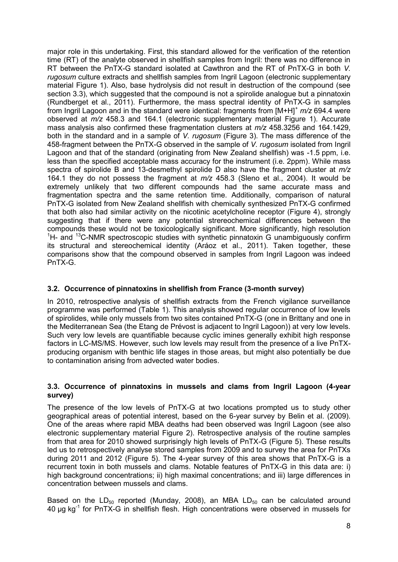major role in this undertaking. First, this standard allowed for the verification of the retention time (RT) of the analyte observed in shellfish samples from Ingril: there was no difference in RT between the PnTX-G standard isolated at Cawthron and the RT of PnTX-G in both *V. rugosum* culture extracts and shellfish samples from Ingril Lagoon (electronic supplementary material Figure 1). Also, base hydrolysis did not result in destruction of the compound (see section 3.3), which suggested that the compound is not a spirolide analogue but a pinnatoxin (Rundberget et al., 2011). Furthermore, the mass spectral identity of PnTX-G in samples from Ingril Lagoon and in the standard were identical: fragments from [M+H]<sup>+</sup> *m/z* 694.4 were observed at *m/z* 458.3 and 164.1 (electronic supplementary material Figure 1). Accurate mass analysis also confirmed these fragmentation clusters at *m/z* 458.3256 and 164.1429, both in the standard and in a sample of *V. rugosum* (Figure 3). The mass difference of the 458-fragment between the PnTX-G observed in the sample of *V. rugosum* isolated from Ingril Lagoon and that of the standard (originating from New Zealand shellfish) was -1.5 ppm, i.e. less than the specified acceptable mass accuracy for the instrument (i.e. 2ppm). While mass spectra of spirolide B and 13-desmethyl spirolide D also have the fragment cluster at *m/z* 164.1 they do not possess the fragment at *m/z* 458.3 (Sleno et al., 2004). It would be extremely unlikely that two different compounds had the same accurate mass and fragmentation spectra and the same retention time. Additionally, comparison of natural PnTX-G isolated from New Zealand shellfish with chemically synthesized PnTX-G confirmed that both also had similar activity on the nicotinic acetylcholine receptor (Figure 4), strongly suggesting that if there were any potential strereochemical differences between the compounds these would not be toxicologically significant. More significantly, high resolution <sup>1</sup>H- and <sup>13</sup>C-NMR spectroscopic studies with synthetic pinnatoxin G unambiguously confirm its structural and stereochemical identity (Aráoz et al., 2011). Taken together, these comparisons show that the compound observed in samples from Ingril Lagoon was indeed PnTX-G.

## **3.2. Occurrence of pinnatoxins in shellfish from France (3-month survey)**

In 2010, retrospective analysis of shellfish extracts from the French vigilance surveillance programme was performed (Table 1). This analysis showed regular occurrence of low levels of spirolides, while only mussels from two sites contained PnTX-G (one in Brittany and one in the Mediterranean Sea (the Etang de Prévost is adjacent to Ingril Lagoon)) at very low levels. Such very low levels are quantifiable because cyclic imines generally exhibit high response factors in LC-MS/MS. However, such low levels may result from the presence of a live PnTXproducing organism with benthic life stages in those areas, but might also potentially be due to contamination arising from advected water bodies.

### **3.3. Occurrence of pinnatoxins in mussels and clams from Ingril Lagoon (4-year survey)**

The presence of the low levels of PnTX-G at two locations prompted us to study other geographical areas of potential interest, based on the 6-year survey by Belin et al. (2009). One of the areas where rapid MBA deaths had been observed was Ingril Lagoon (see also electronic supplementary material Figure 2). Retrospective analysis of the routine samples from that area for 2010 showed surprisingly high levels of PnTX-G (Figure 5). These results led us to retrospectively analyse stored samples from 2009 and to survey the area for PnTXs during 2011 and 2012 (Figure 5). The 4-year survey of this area shows that PnTX-G is a recurrent toxin in both mussels and clams. Notable features of PnTX-G in this data are: i) high background concentrations; ii) high maximal concentrations; and iii) large differences in concentration between mussels and clams.

Based on the LD<sub>50</sub> reported (Munday, 2008), an MBA LD<sub>50</sub> can be calculated around 40 µg kg-1 for PnTX-G in shellfish flesh. High concentrations were observed in mussels for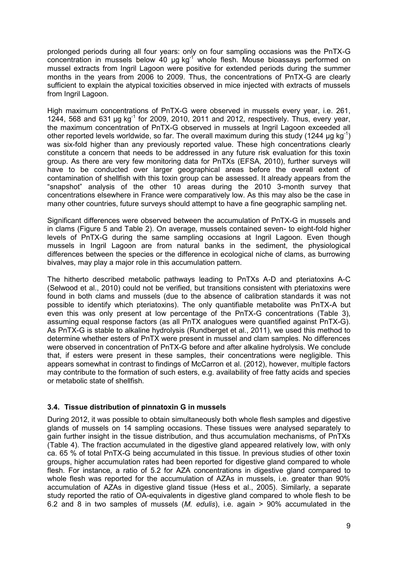prolonged periods during all four years: only on four sampling occasions was the PnTX-G concentration in mussels below 40  $\mu$ g kg<sup>-1</sup> whole flesh. Mouse bioassays performed on mussel extracts from Ingril Lagoon were positive for extended periods during the summer months in the years from 2006 to 2009. Thus, the concentrations of PnTX-G are clearly sufficient to explain the atypical toxicities observed in mice injected with extracts of mussels from Ingril Lagoon.

High maximum concentrations of PnTX-G were observed in mussels every year, i.e. 261, 1244, 568 and 631  $\mu$ g kg<sup>-1</sup> for 2009, 2010, 2011 and 2012, respectively. Thus, every year, the maximum concentration of PnTX-G observed in mussels at Ingril Lagoon exceeded all other reported levels worldwide, so far. The overall maximum during this study (1244  $\mu$ g kg<sup>-1</sup>) was six-fold higher than any previously reported value. These high concentrations clearly constitute a concern that needs to be addressed in any future risk evaluation for this toxin group. As there are very few monitoring data for PnTXs (EFSA, 2010), further surveys will have to be conducted over larger geographical areas before the overall extent of contamination of shellfish with this toxin group can be assessed. It already appears from the "snapshot" analysis of the other 10 areas during the 2010 3-month survey that concentrations elsewhere in France were comparatively low. As this may also be the case in many other countries, future surveys should attempt to have a fine geographic sampling net.

Significant differences were observed between the accumulation of PnTX-G in mussels and in clams (Figure 5 and Table 2). On average, mussels contained seven- to eight-fold higher levels of PnTX-G during the same sampling occasions at Ingril Lagoon. Even though mussels in Ingril Lagoon are from natural banks in the sediment, the physiological differences between the species or the difference in ecological niche of clams, as burrowing bivalves, may play a major role in this accumulation pattern.

The hitherto described metabolic pathways leading to PnTXs A-D and pteriatoxins A-C (Selwood et al., 2010) could not be verified, but transitions consistent with pteriatoxins were found in both clams and mussels (due to the absence of calibration standards it was not possible to identify which pteriatoxins). The only quantifiable metabolite was PnTX-A but even this was only present at low percentage of the PnTX-G concentrations (Table 3), assuming equal response factors (as all PnTX analogues were quantified against PnTX-G). As PnTX-G is stable to alkaline hydrolysis (Rundberget et al., 2011), we used this method to determine whether esters of PnTX were present in mussel and clam samples. No differences were observed in concentration of PnTX-G before and after alkaline hydrolysis. We conclude that, if esters were present in these samples, their concentrations were negligible. This appears somewhat in contrast to findings of McCarron et al. (2012), however, multiple factors may contribute to the formation of such esters, e.g. availability of free fatty acids and species or metabolic state of shellfish.

### **3.4. Tissue distribution of pinnatoxin G in mussels**

During 2012, it was possible to obtain simultaneously both whole flesh samples and digestive glands of mussels on 14 sampling occasions. These tissues were analysed separately to gain further insight in the tissue distribution, and thus accumulation mechanisms, of PnTXs (Table 4). The fraction accumulated in the digestive gland appeared relatively low, with only ca. 65 % of total PnTX-G being accumulated in this tissue. In previous studies of other toxin groups, higher accumulation rates had been reported for digestive gland compared to whole flesh. For instance, a ratio of 5.2 for AZA concentrations in digestive gland compared to whole flesh was reported for the accumulation of AZAs in mussels, i.e. greater than 90% accumulation of AZAs in digestive gland tissue (Hess et al., 2005). Similarly, a separate study reported the ratio of OA-equivalents in digestive gland compared to whole flesh to be 6.2 and 8 in two samples of mussels (*M. edulis*), i.e. again > 90% accumulated in the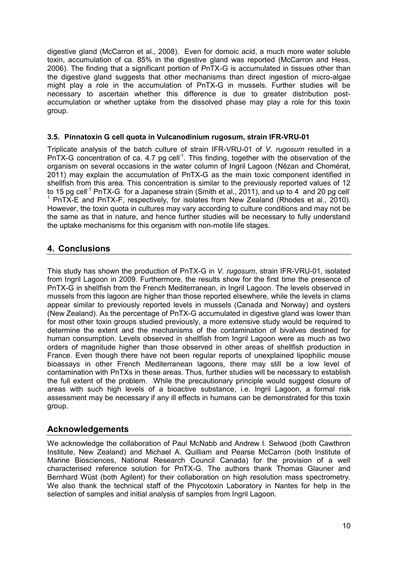digestive gland (McCarron et al., 2008). Even for domoic acid, a much more water soluble toxin, accumulation of ca. 85% in the digestive gland was reported (McCarron and Hess, 2006). The finding that a significant portion of PnTX-G is accumulated in tissues other than the digestive gland suggests that other mechanisms than direct ingestion of micro-algae might play a role in the accumulation of PnTX-G in mussels. Further studies will be necessary to ascertain whether this difference is due to greater distribution postaccumulation or whether uptake from the dissolved phase may play a role for this toxin group.

### **3.5. Pinnatoxin G cell quota in Vulcanodinium rugosum, strain IFR-VRU-01**

Triplicate analysis of the batch culture of strain IFR-VRU-01 of *V. rugosum* resulted in a  $PnTX-G$  concentration of ca. 4.7 pg cell<sup>-1</sup>. This finding, together with the observation of the organism on several occasions in the water column of Ingril Lagoon (Nézan and Chomérat, 2011) may explain the accumulation of PnTX-G as the main toxic component identified in shellfish from this area. This concentration is similar to the previously reported values of 12 to 15 pg cell<sup>-1</sup> PnTX-G for a Japanese strain (Smith et al., 2011), and up to 4 and 20 pg cell<sup>-</sup> <sup>1</sup> PnTX-E and PnTX-F, respectively, for isolates from New Zealand (Rhodes et al., 2010). However, the toxin quota in cultures may vary according to culture conditions and may not be the same as that in nature, and hence further studies will be necessary to fully understand the uptake mechanisms for this organism with non-motile life stages.

# **4. Conclusions**

This study has shown the production of PnTX-G in *V. rugosum*, strain IFR-VRU-01, isolated from Ingril Lagoon in 2009. Furthermore, the results show for the first time the presence of PnTX-G in shellfish from the French Mediterranean, in Ingril Lagoon. The levels observed in mussels from this lagoon are higher than those reported elsewhere, while the levels in clams appear similar to previously reported levels in mussels (Canada and Norway) and oysters (New Zealand). As the percentage of PnTX-G accumulated in digestive gland was lower than for most other toxin groups studied previously, a more extensive study would be required to determine the extent and the mechanisms of the contamination of bivalves destined for human consumption. Levels observed in shellfish from Ingril Lagoon were as much as two orders of magnitude higher than those observed in other areas of shellfish production in France. Even though there have not been regular reports of unexplained lipophilic mouse bioassays in other French Mediterranean lagoons, there may still be a low level of contamination with PnTXs in these areas. Thus, further studies will be necessary to establish the full extent of the problem. While the precautionary principle would suggest closure of areas with such high levels of a bioactive substance, i.e. Ingril Lagoon, a formal risk assessment may be necessary if any ill effects in humans can be demonstrated for this toxin group.

## **Acknowledgements**

We acknowledge the collaboration of Paul McNabb and Andrew I. Selwood (both Cawthron Institute, New Zealand) and Michael A. Quilliam and Pearse McCarron (both Institute of Marine Biosciences, National Research Council Canada) for the provision of a well characterised reference solution for PnTX-G. The authors thank Thomas Glauner and Bernhard Wüst (both Agilent) for their collaboration on high resolution mass spectrometry. We also thank the technical staff of the Phycotoxin Laboratory in Nantes for help in the selection of samples and initial analysis of samples from Ingril Lagoon.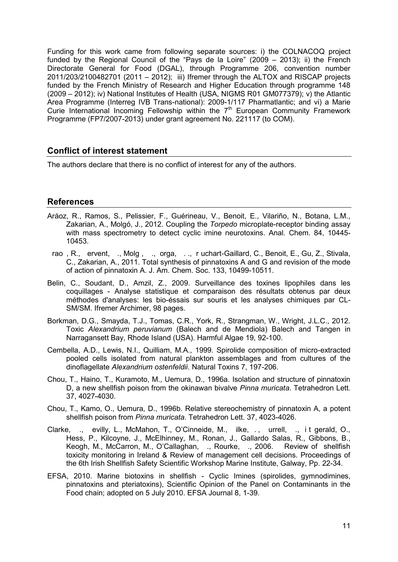Funding for this work came from following separate sources: i) the COLNACOQ project funded by the Regional Council of the "Pays de la Loire" (2009 – 2013); ii) the French Directorate General for Food (DGAL), through Programme 206, convention number 2011/203/2100482701 (2011 – 2012); iii) Ifremer through the ALTOX and RISCAP projects funded by the French Ministry of Research and Higher Education through programme 148 (2009 – 2012); iv) National Institutes of Health (USA, NIGMS R01 GM077379); v) the Atlantic Area Programme (Interreg IVB Trans-national): 2009-1/117 Pharmatlantic; and vi) a Marie Curie International Incoming Fellowship within the  $7<sup>th</sup>$  European Community Framework Programme (FP7/2007-2013) under grant agreement No. 221117 (to COM).

## **Conflict of interest statement**

The authors declare that there is no conflict of interest for any of the authors.

## **References**

- Aráoz, R., Ramos, S., Pelissier, F., Guérineau, V., Benoit, E., Vilariño, N., Botana, L.M., Zakarian, A., Molgó, J., 2012. Coupling the *Torpedo* microplate-receptor binding assay with mass spectrometry to detect cyclic imine neurotoxins. Anal. Chem. 84, 10445- 10453.
- rao, R., ervent, ., Molg, ., orga, .., r uchart-Gaillard, C., Benoit, E., Gu, Z., Stivala, C., Zakarian, A., 2011. Total synthesis of pinnatoxins A and G and revision of the mode of action of pinnatoxin A. J. Am. Chem. Soc. 133, 10499-10511.
- Belin, C., Soudant, D., Amzil, Z., 2009. Surveillance des toxines lipophiles dans les coquillages - Analyse statistique et comparaison des résultats obtenus par deux méthodes d'analyses: les bio-éssais sur souris et les analyses chimiques par CL-SM/SM. Ifremer Archimer, 98 pages.
- Borkman, D.G., Smayda, T.J., Tomas, C.R., York, R., Strangman, W., Wright, J.L.C., 2012. Toxic *Alexandrium peruvianum* (Balech and de Mendiola) Balech and Tangen in Narragansett Bay, Rhode Island (USA). Harmful Algae 19, 92-100.
- Cembella, A.D., Lewis, N.I., Quilliam, M.A., 1999. Spirolide composition of micro-extracted pooled cells isolated from natural plankton assemblages and from cultures of the dinoflagellate *Alexandrium ostenfeldii*. Natural Toxins 7, 197-206.
- Chou, T., Haino, T., Kuramoto, M., Uemura, D., 1996a. Isolation and structure of pinnatoxin D, a new shellfish poison from the okinawan bivalve *Pinna muricata*. Tetrahedron Lett. 37, 4027-4030.
- Chou, T., Kamo, O., Uemura, D., 1996b. Relative stereochemistry of pinnatoxin A, a potent shellfish poison from *Pinna muricata*. Tetrahedron Lett. 37, 4023-4026.
- Clarke, ., evilly, L., McMahon, T., O'Cinneide, M., ilke, ., urrell, ., it gerald, O., Hess, P., Kilcoyne, J., McElhinney, M., Ronan, J., Gallardo Salas, R., Gibbons, B., Keogh, M., McCarron, M., O'Callaghan, ., Rourke, ., 2006. Review of shellfish toxicity monitoring in Ireland & Review of management cell decisions. Proceedings of the 6th Irish Shellfish Safety Scientific Workshop Marine Institute, Galway, Pp. 22-34.
- EFSA, 2010. Marine biotoxins in shellfish Cyclic Imines (spirolides, gymnodimines, pinnatoxins and pteriatoxins), Scientific Opinion of the Panel on Contaminants in the Food chain; adopted on 5 July 2010. EFSA Journal 8, 1-39.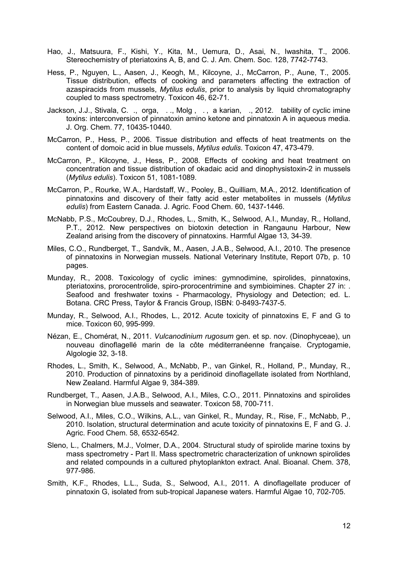- Hao, J., Matsuura, F., Kishi, Y., Kita, M., Uemura, D., Asai, N., Iwashita, T., 2006. Stereochemistry of pteriatoxins A, B, and C. J. Am. Chem. Soc. 128, 7742-7743.
- Hess, P., Nguyen, L., Aasen, J., Keogh, M., Kilcoyne, J., McCarron, P., Aune, T., 2005. Tissue distribution, effects of cooking and parameters affecting the extraction of azaspiracids from mussels, *Mytilus edulis*, prior to analysis by liquid chromatography coupled to mass spectrometry. Toxicon 46, 62-71.
- Jackson, J.J., Stivala, C. ., orga, . ., Molg , . , a karian, ., 2012. tability of cyclic imine toxins: interconversion of pinnatoxin amino ketone and pinnatoxin A in aqueous media. J. Org. Chem. 77, 10435-10440.
- McCarron, P., Hess, P., 2006. Tissue distribution and effects of heat treatments on the content of domoic acid in blue mussels, *Mytilus edulis*. Toxicon 47, 473-479.
- McCarron, P., Kilcoyne, J., Hess, P., 2008. Effects of cooking and heat treatment on concentration and tissue distribution of okadaic acid and dinophysistoxin-2 in mussels (*Mytilus edulis*). Toxicon 51, 1081-1089.
- McCarron, P., Rourke, W.A., Hardstaff, W., Pooley, B., Quilliam, M.A., 2012. Identification of pinnatoxins and discovery of their fatty acid ester metabolites in mussels (*Mytilus edulis*) from Eastern Canada. J. Agric. Food Chem. 60, 1437-1446.
- McNabb, P.S., McCoubrey, D.J., Rhodes, L., Smith, K., Selwood, A.I., Munday, R., Holland, P.T., 2012. New perspectives on biotoxin detection in Rangaunu Harbour, New Zealand arising from the discovery of pinnatoxins. Harmful Algae 13, 34-39.
- Miles, C.O., Rundberget, T., Sandvik, M., Aasen, J.A.B., Selwood, A.I., 2010. The presence of pinnatoxins in Norwegian mussels. National Veterinary Institute, Report 07b, p. 10 pages.
- Munday, R., 2008. Toxicology of cyclic imines: gymnodimine, spirolides, pinnatoxins, pteriatoxins, prorocentrolide, spiro-prorocentrimine and symbioimines. Chapter 27 in: . Seafood and freshwater toxins - Pharmacology, Physiology and Detection; ed. L. Botana. CRC Press, Taylor & Francis Group, ISBN: 0-8493-7437-5.
- Munday, R., Selwood, A.I., Rhodes, L., 2012. Acute toxicity of pinnatoxins E, F and G to mice. Toxicon 60, 995-999.
- Nézan, E., Chomérat, N., 2011. *Vulcanodinium rugosum* gen. et sp. nov. (Dinophyceae), un nouveau dinoflagellé marin de la côte méditerranéenne française. Cryptogamie, Algologie 32, 3-18.
- Rhodes, L., Smith, K., Selwood, A., McNabb, P., van Ginkel, R., Holland, P., Munday, R., 2010. Production of pinnatoxins by a peridinoid dinoflagellate isolated from Northland, New Zealand. Harmful Algae 9, 384-389.
- Rundberget, T., Aasen, J.A.B., Selwood, A.I., Miles, C.O., 2011. Pinnatoxins and spirolides in Norwegian blue mussels and seawater. Toxicon 58, 700-711.
- Selwood, A.I., Miles, C.O., Wilkins, A.L., van Ginkel, R., Munday, R., Rise, F., McNabb, P., 2010. Isolation, structural determination and acute toxicity of pinnatoxins E, F and G. J. Agric. Food Chem. 58, 6532-6542.
- Sleno, L., Chalmers, M.J., Volmer, D.A., 2004. Structural study of spirolide marine toxins by mass spectrometry - Part II. Mass spectrometric characterization of unknown spirolides and related compounds in a cultured phytoplankton extract. Anal. Bioanal. Chem. 378, 977-986.
- Smith, K.F., Rhodes, L.L., Suda, S., Selwood, A.I., 2011. A dinoflagellate producer of pinnatoxin G, isolated from sub-tropical Japanese waters. Harmful Algae 10, 702-705.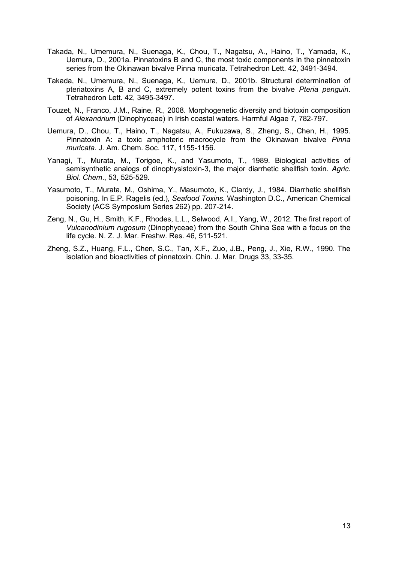- Takada, N., Umemura, N., Suenaga, K., Chou, T., Nagatsu, A., Haino, T., Yamada, K., Uemura, D., 2001a. Pinnatoxins B and C, the most toxic components in the pinnatoxin series from the Okinawan bivalve Pinna muricata. Tetrahedron Lett. 42, 3491-3494.
- Takada, N., Umemura, N., Suenaga, K., Uemura, D., 2001b. Structural determination of pteriatoxins A, B and C, extremely potent toxins from the bivalve *Pteria penguin*. Tetrahedron Lett. 42, 3495-3497.
- Touzet, N., Franco, J.M., Raine, R., 2008. Morphogenetic diversity and biotoxin composition of *Alexandrium* (Dinophyceae) in Irish coastal waters. Harmful Algae 7, 782-797.
- Uemura, D., Chou, T., Haino, T., Nagatsu, A., Fukuzawa, S., Zheng, S., Chen, H., 1995. Pinnatoxin A: a toxic amphoteric macrocycle from the Okinawan bivalve *Pinna muricata*. J. Am. Chem. Soc. 117, 1155-1156.
- Yanagi, T., Murata, M., Torigoe, K., and Yasumoto, T., 1989. Biological activities of semisynthetic analogs of dinophysistoxin-3, the major diarrhetic shellfish toxin. *Agric. Biol. Chem*., 53, 525-529.
- Yasumoto, T., Murata, M., Oshima, Y., Masumoto, K., Clardy, J., 1984. Diarrhetic shellfish poisoning. In E.P. Ragelis (ed.), *Seafood Toxins.* Washington D.C., American Chemical Society (ACS Symposium Series 262) pp. 207-214.
- Zeng, N., Gu, H., Smith, K.F., Rhodes, L.L., Selwood, A.I., Yang, W., 2012. The first report of *Vulcanodinium rugosum* (Dinophyceae) from the South China Sea with a focus on the life cycle. N. Z. J. Mar. Freshw. Res. 46, 511-521.
- Zheng, S.Z., Huang, F.L., Chen, S.C., Tan, X.F., Zuo, J.B., Peng, J., Xie, R.W., 1990. The isolation and bioactivities of pinnatoxin. Chin. J. Mar. Drugs 33, 33-35.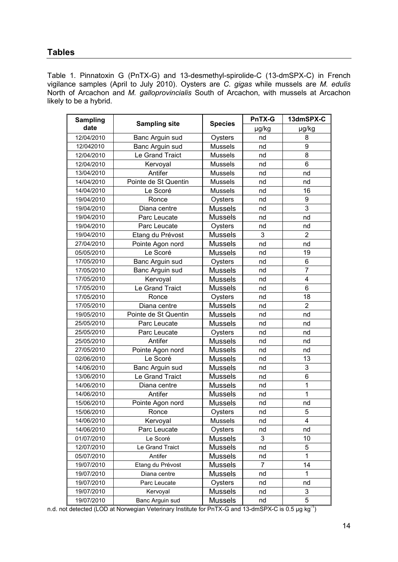# **Tables**

Table 1. Pinnatoxin G (PnTX-G) and 13-desmethyl-spirolide-C (13-dmSPX-C) in French vigilance samples (April to July 2010). Oysters are *C. gigas* while mussels are *M. edulis* North of Arcachon and *M. galloprovincialis* South of Arcachon, with mussels at Arcachon likely to be a hybrid.

| <b>Sampling</b> | <b>Sampling site</b> |                | <b>PnTX-G</b>  | 13dmSPX-C      |
|-----------------|----------------------|----------------|----------------|----------------|
| date            |                      | <b>Species</b> | µg/kg          | µg/kg          |
| 12/04/2010      | Banc Arguin sud      | Oysters        | nd             | 8              |
| 12/042010       | Banc Arguin sud      | <b>Mussels</b> | nd             | 9              |
| 12/04/2010      | Le Grand Traict      | <b>Mussels</b> | nd             | 8              |
| 12/04/2010      | Kervoyal             | <b>Mussels</b> | nd             | 6              |
| 13/04/2010      | Antifer              | <b>Mussels</b> | nd             | nd             |
| 14/04/2010      | Pointe de St Quentin | <b>Mussels</b> | nd             | nd             |
| 14/04/2010      | Le Scoré             | <b>Mussels</b> | nd             | 16             |
| 19/04/2010      | Ronce                | Oysters        | nd             | 9              |
| 19/04/2010      | Diana centre         | <b>Mussels</b> | nd             | 3              |
| 19/04/2010      | Parc Leucate         | <b>Mussels</b> | nd             | nd             |
| 19/04/2010      | Parc Leucate         | Oysters        | nd             | nd             |
| 19/04/2010      | Etang du Prévost     | <b>Mussels</b> | 3              | $\overline{2}$ |
| 27/04/2010      | Pointe Agon nord     | <b>Mussels</b> | nd             | nd             |
| 05/05/2010      | Le Scoré             | <b>Mussels</b> | nd             | 19             |
| 17/05/2010      | Banc Arguin sud      | Oysters        | nd             | 6              |
| 17/05/2010      | Banc Arguin sud      | <b>Mussels</b> | nd             | $\overline{7}$ |
| 17/05/2010      | Kervoyal             | <b>Mussels</b> | nd             | 4              |
| 17/05/2010      | Le Grand Traict      | <b>Mussels</b> | nd             | 6              |
| 17/05/2010      | Ronce                | Oysters        | nd             | 18             |
| 17/05/2010      | Diana centre         | <b>Mussels</b> | nd             | $\overline{2}$ |
| 19/05/2010      | Pointe de St Quentin | <b>Mussels</b> | nd             | nd             |
| 25/05/2010      | Parc Leucate         | <b>Mussels</b> | nd             | nd             |
| 25/05/2010      | Parc Leucate         | Oysters        | nd             | nd             |
| 25/05/2010      | Antifer              | <b>Mussels</b> | nd             | nd             |
| 27/05/2010      | Pointe Agon nord     | <b>Mussels</b> | nd             | nd             |
| 02/06/2010      | Le Scoré             | <b>Mussels</b> | nd             | 13             |
| 14/06/2010      | Banc Arguin sud      | <b>Mussels</b> | nd             | 3              |
| 13/06/2010      | Le Grand Traict      | <b>Mussels</b> | nd             | 6              |
| 14/06/2010      | Diana centre         | <b>Mussels</b> | nd             | 1              |
| 14/06/2010      | Antifer              | <b>Mussels</b> | nd             | 1              |
| 15/06/2010      | Pointe Agon nord     | <b>Mussels</b> | nd             | nd             |
| 15/06/2010      | Ronce                | Oysters        | nd             | 5              |
| 14/06/2010      | Kervoyal             | Mussels        | nd             | 4              |
| 14/06/2010      | Parc Leucate         | Oysters        | nd             | nd             |
| 01/07/2010      | Le Scoré             | <b>Mussels</b> | 3              | 10             |
| 12/07/2010      | Le Grand Traict      | <b>Mussels</b> | nd             | 5              |
| 05/07/2010      | Antifer              | <b>Mussels</b> | nd             | 1              |
| 19/07/2010      | Etang du Prévost     | <b>Mussels</b> | $\overline{7}$ | 14             |
| 19/07/2010      | Diana centre         | <b>Mussels</b> | nd             | 1              |
| 19/07/2010      | Parc Leucate         | Oysters        | nd             | nd             |
| 19/07/2010      | Kervoyal             | <b>Mussels</b> | nd             | 3              |
| 19/07/2010      | Banc Arguin sud      | <b>Mussels</b> | nd             | 5              |

n.d. not detected (LOD at Norwegian Veterinary Institute for PnTX-G and 13-dmSPX-C is 0.5 µg kg<sup>-1</sup>)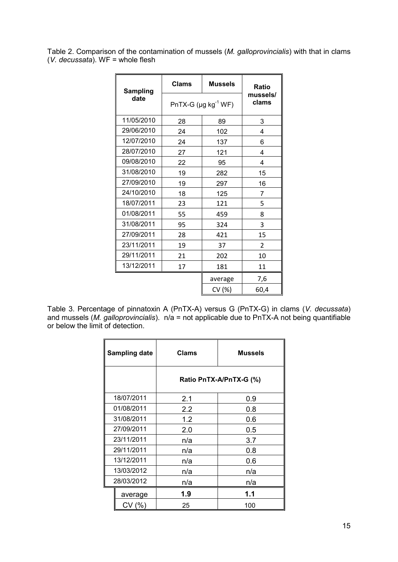Table 2. Comparison of the contamination of mussels (*M. galloprovincialis*) with that in clams (*V. decussata*). WF = whole flesh

| <b>Sampling</b> | <b>Clams</b>                          | <b>Mussels</b> | Ratio             |
|-----------------|---------------------------------------|----------------|-------------------|
| date            | PnTX-G ( $\mu$ g kg <sup>-1</sup> WF) |                | mussels/<br>clams |
| 11/05/2010      | 28                                    | 89             | 3                 |
| 29/06/2010      | 24                                    | 102            | 4                 |
| 12/07/2010      | 24                                    | 137            | 6                 |
| 28/07/2010      | 27                                    | 121            | 4                 |
| 09/08/2010      | 22                                    | 95             | 4                 |
| 31/08/2010      | 19                                    | 282            | 15                |
| 27/09/2010      | 19                                    | 297            | 16                |
| 24/10/2010      | 18                                    | 125            | 7                 |
| 18/07/2011      | 23                                    | 121            | 5                 |
| 01/08/2011      | 55                                    | 459            | 8                 |
| 31/08/2011      | 95                                    | 324            | 3                 |
| 27/09/2011      | 28                                    | 421            | 15                |
| 23/11/2011      | 19                                    | 37             | $\overline{2}$    |
| 29/11/2011      | 21                                    | 202            | 10                |
| 13/12/2011      | 17                                    | 181            | 11                |
|                 |                                       | average        | 7,6               |
|                 |                                       | CV (%)         | 60,4              |

Table 3. Percentage of pinnatoxin A (PnTX-A) versus G (PnTX-G) in clams (*V. decussata*) and mussels (*M. galloprovincialis*). n/a = not applicable due to PnTX-A not being quantifiable or below the limit of detection.

| <b>Sampling date</b> |         | <b>Clams</b>            | <b>Mussels</b> |  |
|----------------------|---------|-------------------------|----------------|--|
|                      |         | Ratio PnTX-A/PnTX-G (%) |                |  |
| 18/07/2011           |         | 2.1                     | 0.9            |  |
| 01/08/2011           |         | 2.2                     | 0.8            |  |
| 31/08/2011           |         | 1.2                     | 0.6            |  |
| 27/09/2011           |         | 2.0                     | 0.5            |  |
| 23/11/2011           |         | n/a                     | 3.7            |  |
| 29/11/2011           |         | n/a                     | 0.8            |  |
| 13/12/2011           |         | n/a                     | 0.6            |  |
| 13/03/2012           |         | n/a                     | n/a            |  |
| 28/03/2012           |         | n/a                     | n/a            |  |
|                      | average | 1.9                     | 1.1            |  |
|                      | CV(% )  | 25                      | 100            |  |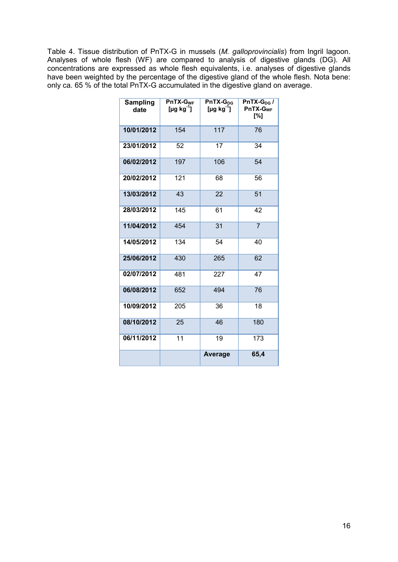Table 4. Tissue distribution of PnTX-G in mussels (*M. galloprovincialis*) from Ingril lagoon. Analyses of whole flesh (WF) are compared to analysis of digestive glands (DG). All concentrations are expressed as whole flesh equivalents, i.e. analyses of digestive glands have been weighted by the percentage of the digestive gland of the whole flesh. Nota bene: only ca. 65 % of the total PnTX-G accumulated in the digestive gland on average.

| Sampling<br>date | PnTX-G <sub>WF</sub><br>[µg kg $^1$ ] | $PnTX-G_{DG}$<br>[µg kg $1$ ] | PnTX- $G_{DG}$ /<br>$PnTX-GWF$<br>[%] |
|------------------|---------------------------------------|-------------------------------|---------------------------------------|
| 10/01/2012       | 154                                   | 117                           | 76                                    |
| 23/01/2012       | 52                                    | 17                            | 34                                    |
| 06/02/2012       | 197                                   | 106                           | 54                                    |
| 20/02/2012       | 121                                   | 68                            | 56                                    |
| 13/03/2012       | 43                                    | 22                            | 51                                    |
| 28/03/2012       | 145                                   | 61                            | 42                                    |
| 11/04/2012       | 454                                   | 31                            | $\overline{7}$                        |
| 14/05/2012       | 134                                   | 54                            | 40                                    |
| 25/06/2012       | 430                                   | 265                           | 62                                    |
| 02/07/2012       | 481                                   | 227                           | 47                                    |
| 06/08/2012       | 652                                   | 494                           | 76                                    |
| 10/09/2012       | 205                                   | 36                            | 18                                    |
| 08/10/2012       | 25                                    | 46                            | 180                                   |
| 06/11/2012       | 11                                    | 19                            | 173                                   |
|                  |                                       | Average                       | 65,4                                  |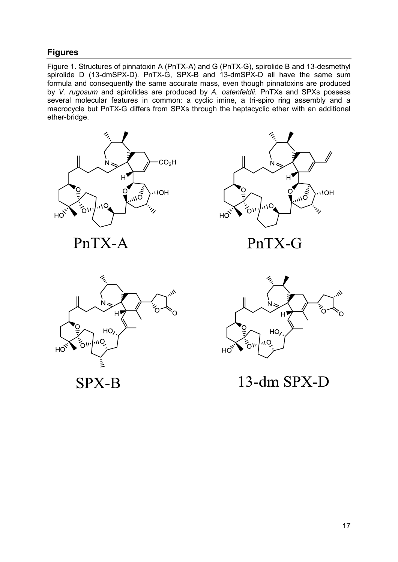## **Figures**

Figure 1. Structures of pinnatoxin A (PnTX-A) and G (PnTX-G), spirolide B and 13-desmethyl spirolide D (13-dmSPX-D). PnTX-G, SPX-B and 13-dmSPX-D all have the same sum formula and consequently the same accurate mass, even though pinnatoxins are produced by *V. rugosum* and spirolides are produced by *A. ostenfeldii*. PnTXs and SPXs possess several molecular features in common: a cyclic imine, a tri-spiro ring assembly and a macrocycle but PnTX-G differs from SPXs through the heptacyclic ether with an additional ether-bridge.



PnTX-A



PnTX-G



**SPX-B** 



13-dm SPX-D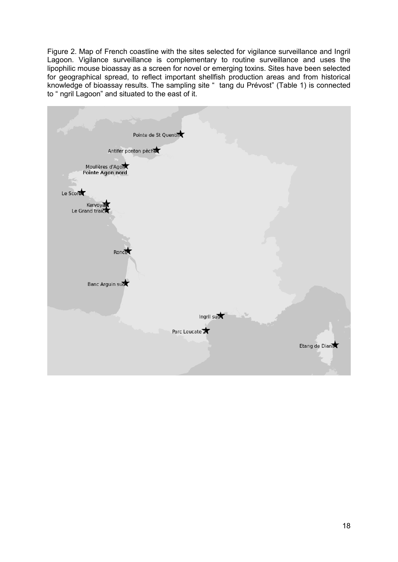Figure 2. Map of French coastline with the sites selected for vigilance surveillance and Ingril Lagoon. Vigilance surveillance is complementary to routine surveillance and uses the lipophilic mouse bioassay as a screen for novel or emerging toxins. Sites have been selected for geographical spread, to reflect important shellfish production areas and from historical knowledge of bioassay results. The sampling site " tang du Prévost" (Table 1) is connected to " ngril Lagoon" and situated to the east of it.

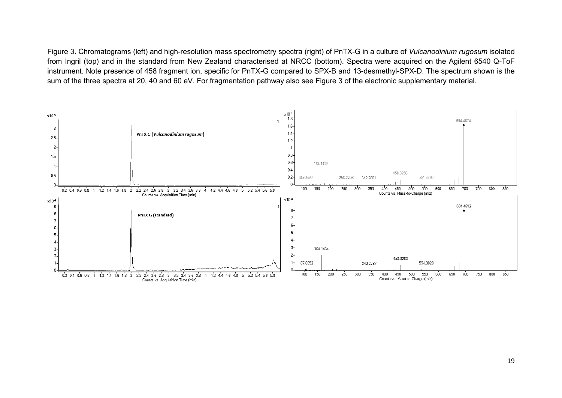Figure 3. Chromatograms (left) and high-resolution mass spectrometry spectra (right) of PnTX-G in a culture of *Vulcanodinium rugosum* isolated from Ingril (top) and in the standard from New Zealand characterised at NRCC (bottom). Spectra were acquired on the Agilent 6540 Q-ToF instrument. Note presence of 458 fragment ion, specific for PnTX-G compared to SPX-B and 13-desmethyl-SPX-D. The spectrum shown is the sum of the three spectra at 20, 40 and 60 eV. For fragmentation pathway also see Figure 3 of the electronic supplementary material.

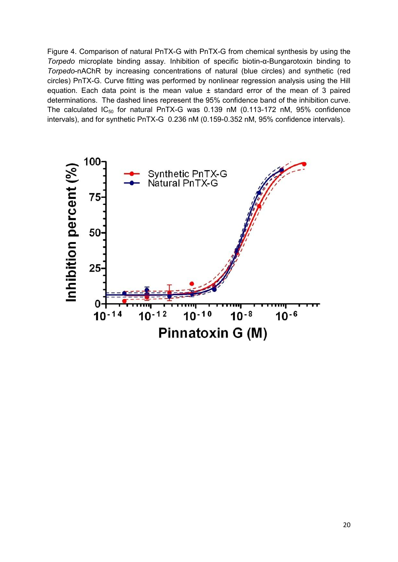Figure 4. Comparison of natural PnTX-G with PnTX-G from chemical synthesis by using the *Torpedo* microplate binding assay. Inhibition of specific biotin-α-Bungarotoxin binding to *Torpedo*-nAChR by increasing concentrations of natural (blue circles) and synthetic (red circles) PnTX-G. Curve fitting was performed by nonlinear regression analysis using the Hill equation. Each data point is the mean value ± standard error of the mean of 3 paired determinations. The dashed lines represent the 95% confidence band of the inhibition curve. The calculated  $IC_{50}$  for natural PnTX-G was 0.139 nM (0.113-172 nM, 95% confidence intervals), and for synthetic PnTX-G 0.236 nM (0.159-0.352 nM, 95% confidence intervals).